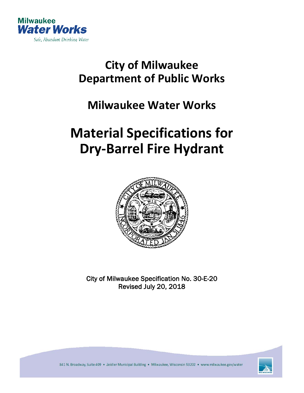

## **City of Milwaukee Department of Public Works**

### **Milwaukee Water Works**

# **Material Specifications for Dry-Barrel Fire Hydrant**



City of Milwaukee Specification No. 30-E-20 Revised July 20, 2018



841 N. Broadway, Suite 409 · Zeidler Municipal Building · Milwaukee, Wisconsin 53202 · www.milwaukee.gov/water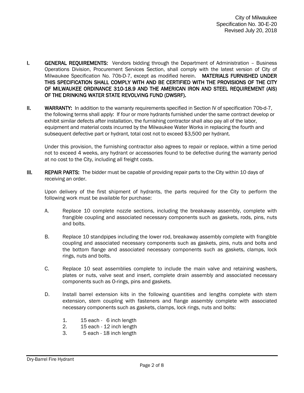- **I.** GENERAL REQUIREMENTS: Vendors bidding through the Department of Administration Business Operations Division, Procurement Services Section, shall comply with the latest version of City of Milwaukee Specification No. 70b-D-7, except as modified herein. MATERIALS FURNISHED UNDER THIS SPECIFICATION SHALL COMPLY WITH AND BE CERTIFIED WITH THE PROVISIONS OF THE CITY OF MILWAUKEE ORDINANCE 310-18.9 AND THE AMERICAN IRON AND STEEL REQUIREMENT (AIS) OF THE DRINKING WATER STATE REVOLVING FUND (DWSRF).
- II. WARRANTY: In addition to the warranty requirements specified in Section IV of specification 70b-d-7, the following terms shall apply: If four or more hydrants furnished under the same contract develop or exhibit similar defects after installation, the furnishing contractor shall also pay all of the labor, equipment and material costs incurred by the Milwaukee Water Works in replacing the fourth and subsequent defective part or hydrant, total cost not to exceed \$3,500 per hydrant.

Under this provision, the furnishing contractor also agrees to repair or replace, within a time period not to exceed 4 weeks, any hydrant or accessories found to be defective during the warranty period at no cost to the City, including all freight costs.

III. REPAIR PARTS: The bidder must be capable of providing repair parts to the City within 10 days of receiving an order.

 Upon delivery of the first shipment of hydrants, the parts required for the City to perform the following work must be available for purchase:

- A. Replace 10 complete nozzle sections, including the breakaway assembly, complete with frangible coupling and associated necessary components such as gaskets, rods, pins, nuts and bolts.
- B. Replace 10 standpipes including the lower rod, breakaway assembly complete with frangible coupling and associated necessary components such as gaskets, pins, nuts and bolts and the bottom flange and associated necessary components such as gaskets, clamps, lock rings, nuts and bolts.
- C. Replace 10 seat assemblies complete to include the main valve and retaining washers, plates or nuts, valve seat and insert, complete drain assembly and associated necessary components such as O-rings, pins and gaskets.
- D. Install barrel extension kits in the following quantities and lengths complete with stem extension, stem coupling with fasteners and flange assembly complete with associated necessary components such as gaskets, clamps, lock rings, nuts and bolts:
	- 1. 15 each 6 inch length
	- 2. 15 each 12 inch length
	- 3. 5 each 18 inch length

Dry-Barrel Fire Hydrant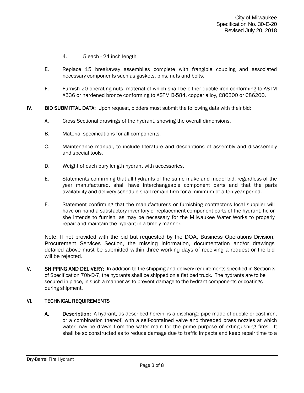- 4. 5 each 24 inch length
- E. Replace 15 breakaway assemblies complete with frangible coupling and associated necessary components such as gaskets, pins, nuts and bolts.
- F. Furnish 20 operating nuts, material of which shall be either ductile iron conforming to ASTM A536 or hardened bronze conforming to ASTM B-584, copper alloy, C86300 or C86200.
- IV. BID SUBMITTAL DATA: Upon request, bidders must submit the following data with their bid:
	- A. Cross Sectional drawings of the hydrant, showing the overall dimensions.
	- B. Material specifications for all components.
	- C. Maintenance manual, to include literature and descriptions of assembly and disassembly and special tools.
	- D. Weight of each bury length hydrant with accessories.
	- E. Statements confirming that all hydrants of the same make and model bid, regardless of the year manufactured, shall have interchangeable component parts and that the parts availability and delivery schedule shall remain firm for a minimum of a ten-year period.
	- F. Statement confirming that the manufacturer's or furnishing contractor's local supplier will have on hand a satisfactory inventory of replacement component parts of the hydrant, he or she intends to furnish, as may be necessary for the Milwaukee Water Works to properly repair and maintain the hydrant in a timely manner.

Note: If not provided with the bid but requested by the DOA, Business Operations Division, Procurement Services Section, the missing information, documentation and/or drawings detailed above must be submitted within three working days of receiving a request or the bid will be rejected.

V. SHIPPING AND DELIVERY: In addition to the shipping and delivery requirements specified in Section X of Specification 70b-D-7, the hydrants shall be shipped on a flat bed truck. The hydrants are to be secured in place, in such a manner as to prevent damage to the hydrant components or coatings during shipment.

#### VI. TECHNICAL REQUIREMENTS

A. Description: A hydrant, as described herein, is a discharge pipe made of ductile or cast iron, or a combination thereof, with a self-contained valve and threaded brass nozzles at which water may be drawn from the water main for the prime purpose of extinguishing fires. It shall be so constructed as to reduce damage due to traffic impacts and keep repair time to a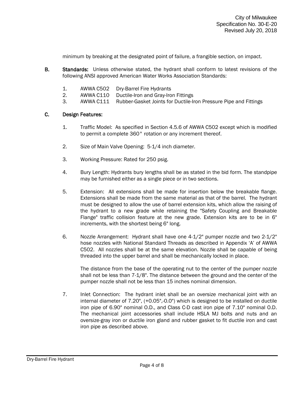minimum by breaking at the designated point of failure, a frangible section, on impact.

- B. Standards: Unless otherwise stated, the hydrant shall conform to latest revisions of the following ANSI approved American Water Works Association Standards:
	- 1. AWWA C502 Dry-Barrel Fire Hydrants
	- 2. AWWA C110 Ductile-Iron and Gray-Iron Fittings
	- 3. AWWA C111 Rubber-Gasket Joints for Ductile-Iron Pressure Pipe and Fittings

#### C. Design Features:

- 1. Traffic Model: As specified in Section 4.5.6 of AWWA C502 except which is modified to permit a complete 360° rotation or any increment thereof.
- 2. Size of Main Valve Opening: 5-1/4 inch diameter.
- 3. Working Pressure: Rated for 250 psig.
- 4. Bury Length: Hydrants bury lengths shall be as stated in the bid form. The standpipe may be furnished either as a single piece or in two sections.
- 5. Extension: All extensions shall be made for insertion below the breakable flange. Extensions shall be made from the same material as that of the barrel. The hydrant must be designed to allow the use of barrel extension kits, which allow the raising of the hydrant to a new grade while retaining the "Safety Coupling and Breakable Flange" traffic collision feature at the new grade. Extension kits are to be in 6" increments, with the shortest being 6" long.
- 6. Nozzle Arrangement: Hydrant shall have one 4-1/2" pumper nozzle and two 2-1/2" hose nozzles with National Standard Threads as described in Appendix 'A' of AWWA C502. All nozzles shall be at the same elevation. Nozzle shall be capable of being threaded into the upper barrel and shall be mechanically locked in place.

The distance from the base of the operating nut to the center of the pumper nozzle shall not be less than 7-1/8". The distance between the ground and the center of the pumper nozzle shall not be less than 15 inches nominal dimension.

7. Inlet Connection: The hydrant inlet shall be an oversize mechanical joint with an internal diameter of 7.20", (+0.05",-0.0") which is designed to be installed on ductile iron pipe of 6.90" nominal O.D., and Class C-D cast iron pipe of 7.10" nominal O.D. The mechanical joint accessories shall include HSLA MJ bolts and nuts and an oversize-gray iron or ductile iron gland and rubber gasket to fit ductile iron and cast iron pipe as described above.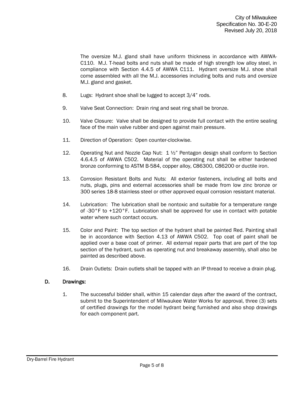The oversize M.J. gland shall have uniform thickness in accordance with AWWA-C110. M.J. T-head bolts and nuts shall be made of high strength low alloy steel, in compliance with Section 4.4.5 of AWWA C111. Hydrant oversize M.J. shoe shall come assembled with all the M.J. accessories including bolts and nuts and oversize M.J. gland and gasket.

- 8. Lugs: Hydrant shoe shall be lugged to accept 3/4" rods.
- 9. Valve Seat Connection: Drain ring and seat ring shall be bronze.
- 10. Valve Closure: Valve shall be designed to provide full contact with the entire sealing face of the main valve rubber and open against main pressure.
- 11. Direction of Operation: Open counter-clockwise.
- 12. Operating Nut and Nozzle Cap Nut: 1 ½" Pentagon design shall conform to Section 4.6.4.5 of AWWA C502. Material of the operating nut shall be either hardened bronze conforming to ASTM B-584, copper alloy, C86300, C86200 or ductile iron.
- 13. Corrosion Resistant Bolts and Nuts: All exterior fasteners, including all bolts and nuts, plugs, pins and external accessories shall be made from low zinc bronze or 300 series 18-8 stainless steel or other approved equal corrosion resistant material.
- 14. Lubrication: The lubrication shall be nontoxic and suitable for a temperature range of -30°F to +120°F. Lubrication shall be approved for use in contact with potable water where such contact occurs.
- 15. Color and Paint: The top section of the hydrant shall be painted Red. Painting shall be in accordance with Section 4.13 of AWWA C502. Top coat of paint shall be applied over a base coat of primer. All external repair parts that are part of the top section of the hydrant, such as operating nut and breakaway assembly, shall also be painted as described above.
- 16. Drain Outlets: Drain outlets shall be tapped with an IP thread to receive a drain plug.

#### D. Drawings:

1. The successful bidder shall, within 15 calendar days after the award of the contract, submit to the Superintendent of Milwaukee Water Works for approval, three (3) sets of certified drawings for the model hydrant being furnished and also shop drawings for each component part.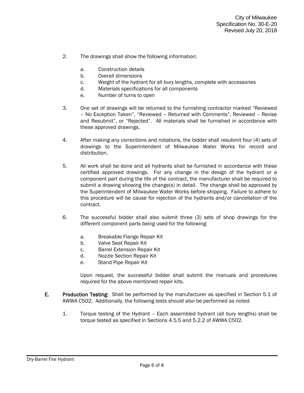- 2. The drawings shall show the following information:
	- a. Construction details
	- b. Overall dimensions
	- c. Weight of the hydrant for all bury lengths, complete with accessories
	- d. Materials specifications for all components
	- e. Number of turns to open
- 3. One set of drawings will be returned to the furnishing contractor marked "Reviewed – No Exception Taken", "Reviewed – Returned with Comments", Reviewed – Revise and Resubmit", or "Rejected". All materials shall be furnished in accordance with these approved drawings.
- 4. After making any corrections and notations, the bidder shall resubmit four (4) sets of drawings to the Superintendent of Milwaukee Water Works for record and distribution.
- 5. All work shall be done and all hydrants shall be furnished in accordance with these certified approved drawings. For any change in the design of the hydrant or a component part during the life of the contract, the manufacturer shall be required to submit a drawing showing the change(s) in detail. The change shall be approved by the Superintendent of Milwaukee Water Works before shipping. Failure to adhere to this procedure will be cause for rejection of the hydrants and/or cancellation of the contract.
- 6. The successful bidder shall also submit three (3) sets of shop drawings for the different component parts being used for the following:
	- a. Breakable Flange Repair Kit
	- b. Valve Seat Repair Kit
	- c. Barrel Extension Repair Kit
	- d. Nozzle Section Repair Kit
	- e. Stand Pipe Repair Kit

Upon request, the successful bidder shall submit the manuals and procedures required for the above-mentioned repair kits.

- E. Production Testing: Shall be performed by the manufacturer as specified in Section 5.1 of AWWA C502. Additionally, the following tests should also be performed as noted:
	- 1. Torque testing of the Hydrant Each assembled hydrant (all bury lengths) shall be torque tested as specified in Sections 4.5.5 and 5.2.2 of AWWA C502.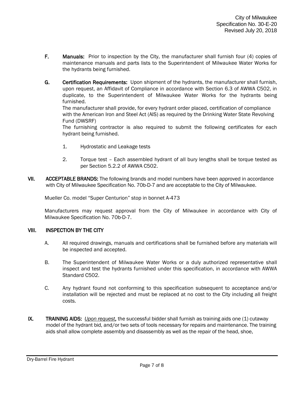- F. Manuals: Prior to inspection by the City, the manufacturer shall furnish four (4) copies of maintenance manuals and parts lists to the Superintendent of Milwaukee Water Works for the hydrants being furnished.
- G. Certification Requirements: Upon shipment of the hydrants, the manufacturer shall furnish, upon request, an Affidavit of Compliance in accordance with Section 6.3 of AWWA C502, in duplicate, to the Superintendent of Milwaukee Water Works for the hydrants being furnished.

The manufacturer shall provide, for every hydrant order placed, certification of compliance with the American Iron and Steel Act (AIS) as required by the Drinking Water State Revolving Fund (DWSRF)

The furnishing contractor is also required to submit the following certificates for each hydrant being furnished.

- 1. Hydrostatic and Leakage tests
- 2. Torque test Each assembled hydrant of all bury lengths shall be torque tested as per Section 5.2.2 of AWWA C502.
- VII. ACCEPTABLE BRANDS: The following brands and model numbers have been approved in accordance with City of Milwaukee Specification No. 70b-D-7 and are acceptable to the City of Milwaukee.

Mueller Co. model "Super Centurion" stop in bonnet A-473

Manufacturers may request approval from the City of Milwaukee in accordance with City of Milwaukee Specification No. 70b-D-7.

#### VIII. INSPECTION BY THE CITY

- A. All required drawings, manuals and certifications shall be furnished before any materials will be inspected and accepted.
- B. The Superintendent of Milwaukee Water Works or a duly authorized representative shall inspect and test the hydrants furnished under this specification, in accordance with AWWA Standard C502.
- C. Any hydrant found not conforming to this specification subsequent to acceptance and/or installation will be rejected and must be replaced at no cost to the City including all freight costs.
- IX. TRAINING AIDS: *Upon request*, the successful bidder shall furnish as training aids one (1) cutaway model of the hydrant bid, and/or two sets of tools necessary for repairs and maintenance. The training aids shall allow complete assembly and disassembly as well as the repair of the head, shoe,